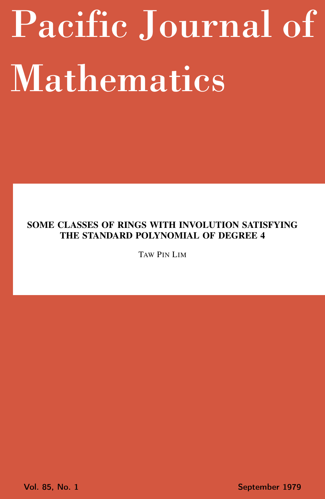# <span id="page-0-0"></span>Pacific Journal of Mathematics

# SOME CLASSES OF RINGS WITH INVOLUTION SATISFYING THE STANDARD POLYNOMIAL OF DEGREE 4

TAW PIN LIM

Vol. 85, No. 1 September 1979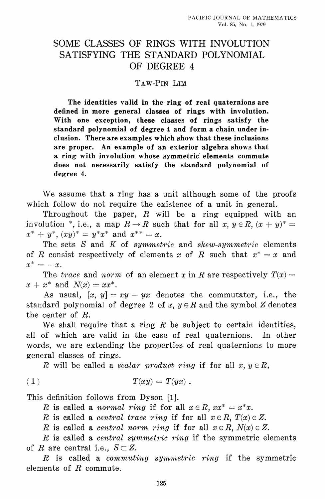## SOME CLASSES OF RINGS WITH INVOLUTION SATISFYING THE STANDARD POLYNOMIAL OF DEGREE 4

### TAW-PIN LIM

The identities valid in the ring of real quaternions are defined in more general classes of rings with involution. With one exception, these classes of rings satisfy the standard polynomial of degree 4 and form a chain under inclusion. There are examples which show that these inclusions are proper. An example of an exterior algebra shows that a ring with involution whose symmetric elements commute does not necessarily satisfy the standard polynomial of degree 4.

We assume that a ring has a unit although some of the proofs which follow do not require the existence of a unit in general.

Throughout the paper,  $R$  will be a ring equipped with an involution \*, i.e., a map  $R \to R$  such that for all x,  $y \in R$ ,  $(x + y)^* =$  $x^* + y^*$ ,  $(xy)^* = y^*x^*$  and  $x^{**} = x$ .

The sets S and K of symmetric and skew-symmetric elements of R consist respectively of elements x of R such that  $x^* = x$  and  $x^* = -x$ .

The trace and norm of an element x in R are respectively  $T(x) =$  $x + x^*$  and  $N(x) = xx^*$ .

As usual,  $[x, y] = xy - yx$  denotes the commutator, i.e., the standard polynomial of degree 2 of x,  $y \in R$  and the symbol Z denotes the center of  $R$ .

We shall require that a ring  $R$  be subject to certain identities, all of which are valid in the case of real quaternions. In other words, we are extending the properties of real quaternions to more general classes of rings.

R will be called a *scalar product ring* if for all  $x, y \in R$ ,

$$
(1) \t T(xy) = T(yx) .
$$

This definition follows from Dyson [1].

R is called a *normal ring* if for all  $x \in R$ ,  $xx^* = x^*x$ .

R is called a *central trace ring* if for all  $x \in R$ ,  $T(x) \in Z$ .

R is called a *central norm ring* if for all  $x \in R$ ,  $N(x) \in Z$ .

R is called a *central symmetric ring* if the symmetric elements of R are central i.e.,  $S \subset Z$ .

R is called a *commuting symmetric ring* if the symmetric elements of  $R$  commute.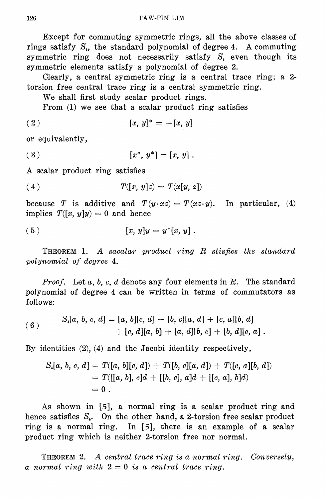Except for commuting symmetric rings, all the above classes of rings satisfy  $S_i$ , the standard polynomial of degree 4. A commuting symmetric ring does not necessarily satisfy  $S<sub>4</sub>$  even though its symmetric elements satisfy a polynomial of degree 2.

Clearly, a central symmetric ring is a central trace ring; a 2torsion free central trace ring is a central symmetric ring.

We shall first study scalar product rings.

From (1) we see that a scalar product ring satisfies

$$
(2) \t\t [x, y]^* = -[x, y]
$$

or equivalently,

$$
(3) \t\t\t [x^*, y^*] = [x, y].
$$

A scalar product ring satisfies

$$
(4) \tT([x, y]z) = T(x[y, z])
$$

because T is additive and  $T(y \cdot xz) = T(xz \cdot y)$ . In particular, (4) implies  $T([x, y]y) = 0$  and hence

(5) 
$$
[x, y]y = y^*[x, y].
$$

**THEOREM** 1. A sacalar product ring  $R$  stisfies the standard polynomial of degree 4.

*Proof.* Let  $a, b, c, d$  denote any four elements in  $R$ . The standard polynomial of degree 4 can be written in terms of commutators as follows:

(6) 
$$
S_{4}[a, b, c, d] = [a, b][c, d] + [b, c][a, d] + [c, a][b, d] + [c, d][a, b] + [a, d][b, c] + [b, d][c, a].
$$

By identities  $(2)$ ,  $(4)$  and the Jacobi identity respectively,

$$
S_{i}[a, b, c, d] = T([a, b][c, d]) + T([b, c][a, d]) + T([c, a][b, d])
$$
  
= 
$$
T([[a, b], c]d + [[b, c], a]d + [[c, a], b]d)
$$
  
= 0.

As shown in  $[5]$ , a normal ring is a scalar product ring and hence satisfies  $S_t$ . On the other hand, a 2-torsion free scalar product ring is a normal ring. In [5], there is an example of a scalar product ring which is neither 2-torsion free nor normal.

THEOREM 2. A central trace ring is a normal ring. Conversely, a normal ring with  $2=0$  is a central trace ring.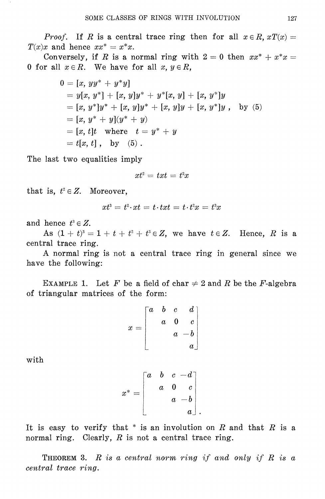*Proof.* If R is a central trace ring then for all  $x \in R$ ,  $xT(x) =$  $T(x)x$  and hence  $xx^* = x^*x$ .

Conversely, if R is a normal ring with  $2 = 0$  then  $xx^* + x^*x =$ 0 for all  $x \in R$ . We have for all  $x, y \in R$ ,

$$
0 = [x, yy^* + y^*y]
$$
  
=  $y[x, y^*] + [x, y]y^* + y^*[x, y] + [x, y^*]y$   
=  $[x, y^*]y^* + [x, y]y^* + [x, y]y + [x, y^*]y$ , by (5)  
=  $[x, y^* + y](y^* + y)$   
=  $[x, t]t$  where  $t = y^* + y$   
=  $t[x, t]$ , by (5).

The last two equalities imply

$$
xt^{\scriptscriptstyle 2} = \, txt \, = \, t^{\scriptscriptstyle 2} x
$$

that is,  $t^2 \in Z$ . Moreover,

$$
xt^3 = t^2 \cdotp xt = t \cdotp txt = t \cdotp t^2x = t^3x
$$

and hence  $t^3 \in Z$ .

As  $(1 + t)^3 = 1 + t + t^2 + t^3 \in Z$ , we have  $t \in Z$ . Hence, R is a central trace ring.

A normal ring is not a central trace ring in general since we have the following:

EXAMPLE 1. Let F be a field of char  $\neq 2$  and R be the F-algebra of triangular matrices of the form:

|       | $\begin{bmatrix} a & b & c \end{bmatrix}$ |          | $\boldsymbol{d}$ |
|-------|-------------------------------------------|----------|------------------|
| $x =$ | $\overline{a}$                            | $\bf{0}$ | $\mathfrak{c}$   |
|       |                                           |          | $a - b$          |
|       |                                           |          | $\it a$          |

with

$$
x^* = \begin{bmatrix} a & b & c & -d \\ & a & 0 & c \\ & & a & -b \\ & & & a \end{bmatrix}
$$

It is easy to verify that  $*$  is an involution on R and that R is a normal ring. Clearly,  $R$  is not a central trace ring.

**THEOREM** 3. R is a central norm ring if and only if R is a central trace ring.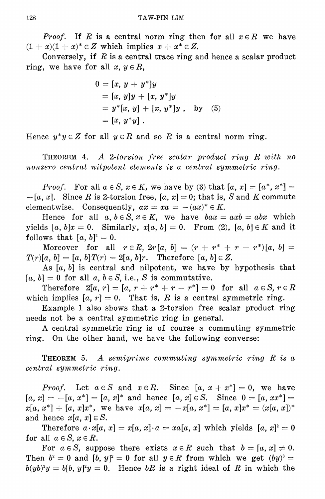*Proof.* If R is a central norm ring then for all  $x \in R$  we have  $(1+x)(1+x)^* \in Z$  which implies  $x + x^* \in Z$ .

Conversely, if  $R$  is a central trace ring and hence a scalar product ring, we have for all  $x, y \in R$ ,

$$
0 = [x, y + y^*]y
$$
  
= [x, y]y + [x, y^\*]y  
= y^\*[x, y] + [x, y^\*]y, by (5)  
= [x, y^\*y].

Hence  $y^*y \in Z$  for all  $y \in R$  and so R is a central norm ring.

THEOREM 4. A 2-torsion free scalar product ring R with no nonzero central nilpotent elements is a central symmetric ring.

*Proof.* For all  $a \in S$ ,  $x \in K$ , we have by (3) that  $[a, x] = [a^*, x^*] =$  $-[a, x]$ . Since R is 2-torsion free,  $[a, x] = 0$ ; that is, S and K commute elementwise. Consequently,  $ax = xa = -(ax)^* \in K$ .

Hence for all  $a, b \in S$ ,  $x \in K$ , we have  $bax = axb = abx$  which yields [a, b]x = 0. Similarly,  $x[a, b] = 0$ . From (2), [a, b]  $\in K$  and it follows that  $[a, b]^2 = 0$ .

Moreover for all  $r \in R$ ,  $2r[a, b] = (r + r^* + r - r^*)[a, b] =$  $T(r)[a, b] = [a, b]T(r) = 2[a, b]r$ . Therefore  $[a, b] \in Z$ .

As  $[a, b]$  is central and nilpotent, we have by hypothesis that  $[a, b] = 0$  for all  $a, b \in S$ , i.e., S is commutative.

Therefore  $2[a, r] = [a, r + r^* + r - r^*] = 0$  for all  $a \in S, r \in R$ which implies  $[a, r] = 0$ . That is, R is a central symmetric ring.

Example 1 also shows that a 2-torsion free scalar product ring needs not be a central symmetric ring in general.

A central symmetric ring is of course a commuting symmetric ring. On the other hand, we have the following converse:

**THEOREM** 5. A semiprime commuting symmetric ring  $R$  is a central symmetric ring.

*Proof.* Let  $a \in S$  and  $x \in R$ . Since  $[a, x + x^*] = 0$ , we have  $[a, x] = -[a, x^*] = [a, x]^*$  and hence  $[a, x] \in S$ . Since  $0 = [a, xx^*] =$  $x[a, x^*] + [a, x]x^*$ , we have  $x[a, x] = -x[a, x^*] = [a, x]x^* = (x[a, x])^*$ and hence  $x[a, x] \in S$ .

Therefore  $a \cdot x[a, x] = x[a, x] \cdot a = xa[a, x]$  which yields  $[a, x] = 0$ for all  $a \in S$ ,  $x \in R$ .

For  $a \in S$ , suppose there exists  $x \in R$  such that  $b = [a, x] \neq 0$ . Then  $b^2 = 0$  and  $[b, y]^2 = 0$  for all  $y \in R$  from which we get  $(by)^3 =$  $b(yb)^2y = b[b, y]^2y = 0$ . Hence bR is a right ideal of R in which the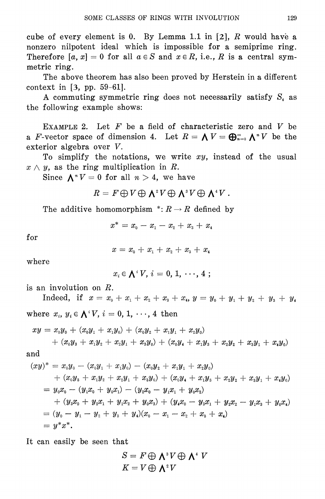cube of every element is 0. By Lemma 1.1 in [2], R would have a nonzero nilpotent ideal which is impossible for a semiprime ring. Therefore [a, x] = 0 for all  $a \in S$  and  $x \in R$ , i.e., R is a central symmetric ring.

The above theorem has also been proved by Herstein in a different context in  $[3, pp. 59-61]$ .

A commuting symmetric ring does not necessarily satisfy  $S<sub>4</sub>$  as the following example shows:

EXAMPLE 2. Let  $F$  be a field of characteristic zero and  $V$  be a F-vector space of dimension 4. Let  $R = \bigwedge V = \bigoplus_{n=0}^{\infty} \bigwedge^n V$  be the exterior algebra over V.

To simplify the notations, we write  $xy$ , instead of the usual  $x \wedge y$ , as the ring multiplication in R.

Since  $\Lambda^n V = 0$  for all  $n > 4$ , we have

$$
R = F \bigoplus V \bigoplus \textbf{1}^2 V \bigoplus \textbf{1}^3 V \bigoplus \textbf{1}^4 V.
$$

The additive homomorphism  $\overline{R} \to R$  defined by

$$
x^* = x_0 - x_1 - x_2 + x_3 + x_4
$$

 $for$ 

 $x = x_0 + x_1 + x_2 + x_3 + x_4$ 

where

 $x_i \in \bigwedge^i V, i = 0, 1, \cdots, 4;$ 

is an involution on  $R$ .

Indeed, if  $x = x_0 + x_1 + x_2 + x_3 + x_4$ ,  $y = y_0 + y_1 + y_2 + y_3 + y_4$ where  $x_i, y_i \in \bigwedge^i V, i = 0, 1, \dots, 4$  then

$$
xy = x_0y_0 + (x_0y_1 + x_1y_0) + (x_0y_2 + x_1y_1 + x_2y_0)
$$
  
+ 
$$
(x_0y_3 + x_1y_2 + x_2y_1 + x_3y_0) + (x_0y_4 + x_1y_3 + x_2y_2 + x_3y_1 + x_4y_0)
$$
  
and

$$
(xy)^* = x_0y_0 - (x_0y_1 + x_1y_0) - (x_0y_2 + x_1y_1 + x_2y_0)
$$
  
+ 
$$
(x_0y_3 + x_1y_2 + x_2y_1 + x_3y_0) + (x_0y_4 + x_1y_3 + x_2y_2 + x_3y_1 + x_4y_0)
$$
  
= 
$$
y_0x_0 - (y_1x_0 + y_0x_1) - (y_2x_0 - y_1x_1 + y_0x_2)
$$
  
+ 
$$
(y_3x_0 + y_2x_1 + y_1x_2 + y_0x_3) + (y_4x_0 - y_3x_1 + y_2x_2 - y_1x_3 + y_0x_4)
$$
  
= 
$$
(y_0 - y_1 - y_2 + y_3 + y_4)(x_0 - x_1 - x_2 + x_3 + x_4)
$$
  
= 
$$
y^*x^*.
$$

It can easily be seen that

$$
S = F \oplus \mathbf{\Lambda}^* V \oplus \mathbf{\Lambda}^* V
$$

$$
K = V \oplus \mathbf{\Lambda}^* V
$$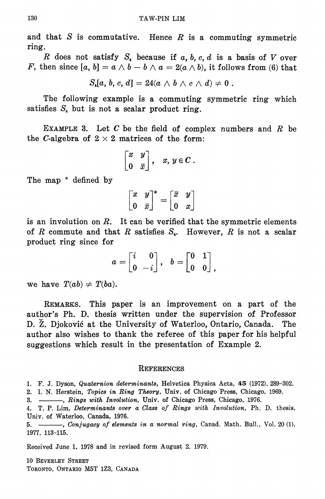and that  $S$  is commutative. Hence  $R$  is a commuting symmetric ring.

R does not satisfy  $S<sub>4</sub>$  because if a, b, c, d is a basis of V over F, then since [a, b] =  $a \wedge b - b \wedge a = 2(a \wedge b)$ , it follows from (6) that

$$
S_{4}[a, b, c, d] = 24(a \wedge b \wedge c \wedge d) \neq 0.
$$

The following example is a commuting symmetric ring which satisfies  $S<sub>4</sub>$  but is not a scalar product ring.

EXAMPLE 3. Let  $C$  be the field of complex numbers and  $R$  be the C-algebra of  $2 \times 2$  matrices of the form:

$$
\begin{bmatrix} x & y \\ 0 & \overline{x} \end{bmatrix}, \quad x, y \in C.
$$

The map \* defined by

$$
\left[\begin{matrix} x & y \\ 0 & \overline{x} \end{matrix}\right]^* = \left[\begin{matrix} \overline{x} & y \\ 0 & x \end{matrix}\right]
$$

is an involution on  $R$ . It can be verified that the symmetric elements of R commute and that R satisfies  $S<sub>1</sub>$ . However, R is not a scalar product ring since for

$$
a=\begin{bmatrix} i & 0 \\ 0 & -i \end{bmatrix}, \quad b=\begin{bmatrix} 0 & 1 \\ 0 & 0 \end{bmatrix},
$$

we have  $T(ab) \neq T(ba)$ .

REMARKS. This paper is an improvement on a part of the author's Ph. D. thesis written under the supervision of Professor D. Ž. Djoković at the University of Waterloo, Ontario, Canada.  $The$ author also wishes to thank the referee of this paper for his helpful suggestions which result in the presentation of Example 2.

### **REFERENCES**

2. I. N. Herstein, Topics in Ring Theory, Univ. of Chicago Press, Chicago, 1969.

4. T. P. Lim, Determinants over a Class of Rings with Involution, Ph. D. thesis, Univ. of Waterloo, Canada, 1976.

5. \_\_\_\_, Conjugacy of elements in a normal ring, Canad. Math. Bull., Vol. 20 (1), 1977, 113-115.

Received June 1, 1978 and in revised form August 2, 1979.

10 BEVERLEY STREET TORONTO, ONTARIO M5T 1Z3, CANADA

<sup>1.</sup> F. J. Dyson, Quaternion determinants, Helvetica Physica Acta, 45 (1972), 289-302.

<sup>-</sup> Rings with Involution, Univ. of Chicago Press, Chicago, 1976.  $3. -$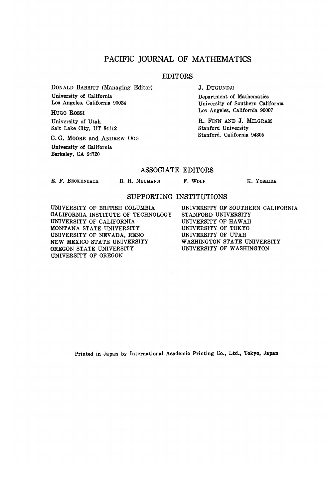### PACIFIC JOURNAL OF MATHEMATICS

### **EDITORS**

**DONALD BABBITT (Managing Editor) University of California Los Angeles, California 90024**

**HUGO ROSSI University of Utah Salt Lake City, UT 84112**

**C. C. MOORE and ANDREW OGG University of California Berkeley, CA 94720**

**J. DUGUNDJI**

**Department of Mathematics University of Southern California Los Angeles, California 90007**

**R. FINN AND J. MILGRAM Stanford University Stanford, California 94305**

### **ASSOCIATE EDITORS**

**E. F. BECKENBACH**

**B. H. NEUMANN F. WOLF K. YOSHIDA**

### **SUPPORTING INSTITUTIONS**

**UNIVERSITY OF BRITISH COLUMBIA CALIFORNIA INSTITUTE OF TECHNOLOGY UNIVERSITY OF CALIFORNIA MONTANA STATE UNIVERSITY UNIVERSITY OF NEVADA, RENO NEW MEXICO STATE UNIVERSITY OREGON STATE UNIVERSITY UNIVERSITY OF OREGON**

**UNIVERSITY OF SOUTHERN CALIFORNIA STANFORD UNIVERSITY UNIVERSITY OF HAWAII UNIVERSITY OF TOKYO UNIVERSITY OF UTAH WASHINGTON STATE UNIVERSITY UNIVERSITY OF WASHINGTON**

Printed in Japan by International Academic Printing Co., Ltd., Tokyo, Japan